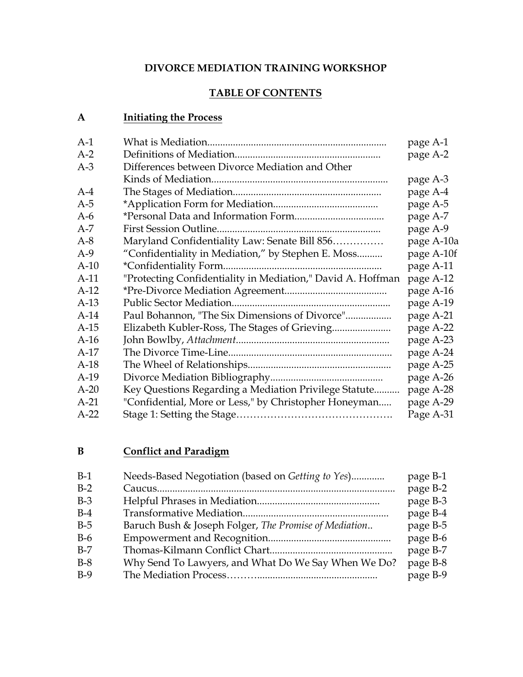#### **DIVORCE MEDIATION TRAINING WORKSHOP**

### **TABLE OF CONTENTS**

### **A Initiating the Process**

| $A-1$  |                                                             | page A-1   |
|--------|-------------------------------------------------------------|------------|
| $A-2$  |                                                             | page A-2   |
| $A-3$  | Differences between Divorce Mediation and Other             |            |
|        |                                                             | page A-3   |
| $A-4$  |                                                             | page A-4   |
| $A-5$  |                                                             | page A-5   |
| $A-6$  |                                                             | page A-7   |
| $A-7$  |                                                             | page A-9   |
| $A-8$  | Maryland Confidentiality Law: Senate Bill 856               | page A-10a |
| $A-9$  | "Confidentiality in Mediation," by Stephen E. Moss          | page A-10f |
| $A-10$ |                                                             | page A-11  |
| $A-11$ | "Protecting Confidentiality in Mediation," David A. Hoffman | page A-12  |
| $A-12$ |                                                             | page A-16  |
| $A-13$ |                                                             | page A-19  |
| $A-14$ | Paul Bohannon, "The Six Dimensions of Divorce"              | page A-21  |
| $A-15$ |                                                             | page A-22  |
| $A-16$ |                                                             | page A-23  |
| $A-17$ |                                                             | page A-24  |
| $A-18$ |                                                             | page A-25  |
| $A-19$ |                                                             | page A-26  |
| $A-20$ | Key Questions Regarding a Mediation Privilege Statute       | page A-28  |
| $A-21$ | "Confidential, More or Less," by Christopher Honeyman       | page A-29  |
| $A-22$ |                                                             | Page A-31  |
|        |                                                             |            |

### **B Conflict and Paradigm**

| $B-1$ | Needs-Based Negotiation (based on Getting to Yes)     | page B-1 |
|-------|-------------------------------------------------------|----------|
| $B-2$ |                                                       | page B-2 |
| $B-3$ |                                                       | page B-3 |
| $B-4$ |                                                       | page B-4 |
| $B-5$ | Baruch Bush & Joseph Folger, The Promise of Mediation | page B-5 |
| $B-6$ |                                                       | page B-6 |
| $B-7$ |                                                       | page B-7 |
| $B-8$ | Why Send To Lawyers, and What Do We Say When We Do?   | page B-8 |
| $B-9$ |                                                       | page B-9 |
|       |                                                       |          |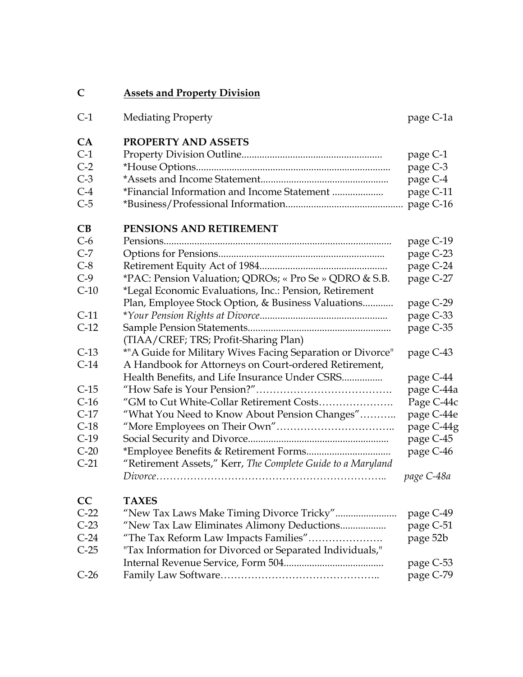| <b>Assets and Property Division</b><br>$\mathbf C$                    |            |
|-----------------------------------------------------------------------|------------|
| $C-1$<br><b>Mediating Property</b>                                    | page C-1a  |
| <b>PROPERTY AND ASSETS</b><br>CA                                      |            |
| $C-1$                                                                 | page C-1   |
| $C-2$                                                                 | page C-3   |
| $C-3$                                                                 | page C-4   |
| *Financial Information and Income Statement<br>$C-4$                  | page C-11  |
| $C-5$                                                                 |            |
| PENSIONS AND RETIREMENT<br>CB                                         |            |
| $C-6$                                                                 | page C-19  |
| $C-7$                                                                 | page C-23  |
| $C-8$                                                                 | page C-24  |
| $C-9$<br>*PAC: Pension Valuation; QDROs; « Pro Se » QDRO & S.B.       | page C-27  |
| $C-10$<br>*Legal Economic Evaluations, Inc.: Pension, Retirement      |            |
| Plan, Employee Stock Option, & Business Valuations                    | page C-29  |
| $C-11$                                                                | page C-33  |
| $C-12$                                                                | page C-35  |
| (TIAA/CREF; TRS; Profit-Sharing Plan)                                 |            |
| *"A Guide for Military Wives Facing Separation or Divorce"<br>$C-13$  | page C-43  |
| $C-14$<br>A Handbook for Attorneys on Court-ordered Retirement,       |            |
| Health Benefits, and Life Insurance Under CSRS                        | page C-44  |
| $C-15$                                                                | page C-44a |
| $C-16$<br>"GM to Cut White-Collar Retirement Costs                    | Page C-44c |
| $C-17$<br>"What You Need to Know About Pension Changes"               | page C-44e |
| $C-18$                                                                | page C-44g |
| $C-19$                                                                | page C-45  |
| $C-20$                                                                | page C-46  |
| "Retirement Assets," Kerr, The Complete Guide to a Maryland<br>$C-21$ |            |
|                                                                       | page C-48a |
| CC<br><b>TAXES</b>                                                    |            |
| $C-22$<br>"New Tax Laws Make Timing Divorce Tricky"                   | page C-49  |
| $C-23$<br>"New Tax Law Eliminates Alimony Deductions                  | page C-51  |
| $C-24$<br>"The Tax Reform Law Impacts Families"                       | page 52b   |
| $C-25$<br>"Tax Information for Divorced or Separated Individuals,"    |            |
|                                                                       | page C-53  |
| $C-26$                                                                | page C-79  |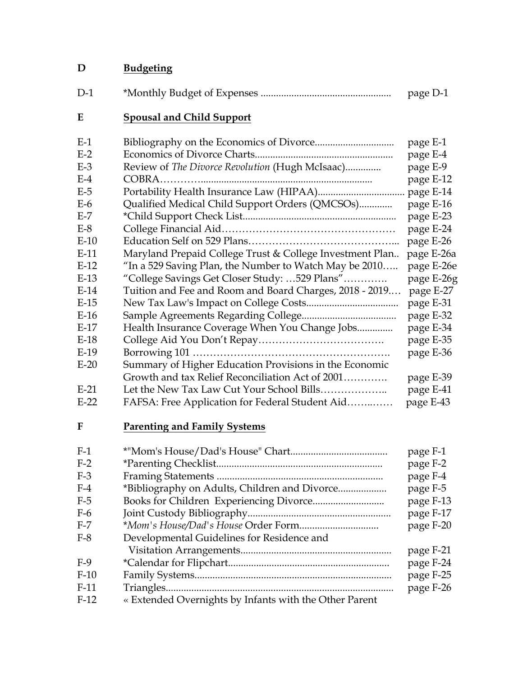## D Budgeting

| $D-1$ | page D-1 |
|-------|----------|
|       |          |

## **E Spousal and Child Support**

| $E-1$  |                                                          | page E-1   |
|--------|----------------------------------------------------------|------------|
| $E-2$  |                                                          | page E-4   |
| $E-3$  | Review of The Divorce Revolution (Hugh McIsaac)          | page E-9   |
| $E-4$  |                                                          | page E-12  |
| $E-5$  |                                                          |            |
| $E-6$  | Qualified Medical Child Support Orders (QMCSOs)          | page E-16  |
| $E-7$  |                                                          | page E-23  |
| $E-8$  |                                                          | page E-24  |
| $E-10$ |                                                          | page E-26  |
| $E-11$ | Maryland Prepaid College Trust & College Investment Plan | page E-26a |
| $E-12$ | "In a 529 Saving Plan, the Number to Watch May be 2010   | page E-26e |
| $E-13$ | "College Savings Get Closer Study: 529 Plans"            | page E-26g |
| $E-14$ | Tuition and Fee and Room and Board Charges, 2018 - 2019  | page E-27  |
| $E-15$ |                                                          | page E-31  |
| $E-16$ |                                                          | page E-32  |
| $E-17$ | Health Insurance Coverage When You Change Jobs           | page E-34  |
| $E-18$ |                                                          | page E-35  |
| $E-19$ |                                                          | page E-36  |
| $E-20$ | Summary of Higher Education Provisions in the Economic   |            |
|        | Growth and tax Relief Reconciliation Act of 2001         | page E-39  |
| $E-21$ | Let the New Tax Law Cut Your School Bills                | page E-41  |
| $E-22$ | FAFSA: Free Application for Federal Student Aid          | page E-43  |
|        |                                                          |            |

# **F Parenting and Family Systems**

| $F-1$  |                                                        | page F-1  |
|--------|--------------------------------------------------------|-----------|
| $F-2$  |                                                        | page F-2  |
| $F-3$  |                                                        | page F-4  |
| $F-4$  | *Bibliography on Adults, Children and Divorce          | page F-5  |
| $F-5$  |                                                        | page F-13 |
| $F-6$  |                                                        | page F-17 |
| $F-7$  |                                                        | page F-20 |
| $F-8$  | Developmental Guidelines for Residence and             |           |
|        |                                                        | page F-21 |
| $F-9$  |                                                        | page F-24 |
| $F-10$ |                                                        | page F-25 |
| $F-11$ |                                                        | page F-26 |
| $F-12$ | « Extended Overnights by Infants with the Other Parent |           |
|        |                                                        |           |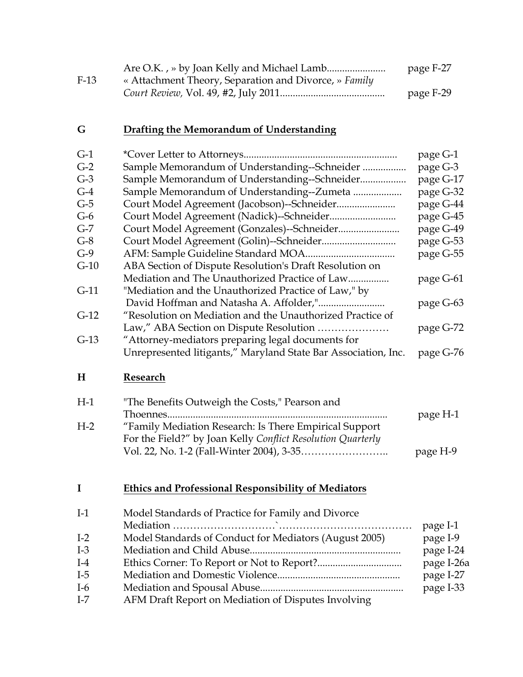|        |                                                       | page F-27 |
|--------|-------------------------------------------------------|-----------|
| $F-13$ | « Attachment Theory, Separation and Divorce, » Family |           |
|        |                                                       | page F-29 |

### **G Drafting the Memorandum of Understanding**

| $G-1$  |                                                                | page G-1   |
|--------|----------------------------------------------------------------|------------|
| $G-2$  | Sample Memorandum of Understanding--Schneider                  | page G-3   |
| $G-3$  | Sample Memorandum of Understanding--Schneider                  | page G-17  |
| $G-4$  | Sample Memorandum of Understanding--Zumeta                     | page G-32  |
| $G-5$  | Court Model Agreement (Jacobson)--Schneider                    | page G-44  |
| $G-6$  | Court Model Agreement (Nadick)--Schneider                      | page G-45  |
| $G-7$  | Court Model Agreement (Gonzales)--Schneider                    | page G-49  |
| $G-8$  |                                                                | page G-53  |
| $G-9$  |                                                                | page G-55  |
| $G-10$ | ABA Section of Dispute Resolution's Draft Resolution on        |            |
|        | Mediation and The Unauthorized Practice of Law                 | page G-61  |
| $G-11$ | "Mediation and the Unauthorized Practice of Law," by           |            |
|        |                                                                | page G-63  |
| $G-12$ | "Resolution on Mediation and the Unauthorized Practice of      |            |
|        | Law," ABA Section on Dispute Resolution                        | page G-72  |
| $G-13$ | "Attorney-mediators preparing legal documents for              |            |
|        | Unrepresented litigants," Maryland State Bar Association, Inc. | page G-76  |
| H      | Research                                                       |            |
| $H-1$  | "The Benefits Outweigh the Costs," Pearson and                 |            |
|        |                                                                | page H-1   |
| $H-2$  | "Family Mediation Research: Is There Empirical Support         |            |
|        | For the Field?" by Joan Kelly Conflict Resolution Quarterly    |            |
|        |                                                                | page H-9   |
|        |                                                                |            |
|        |                                                                |            |
| I      | <b>Ethics and Professional Responsibility of Mediators</b>     |            |
| $I-1$  | Model Standards of Practice for Family and Divorce             |            |
|        |                                                                | page I-1   |
| $I-2$  | Model Standards of Conduct for Mediators (August 2005)         | page I-9   |
| $I-3$  |                                                                | page I-24  |
| $I-4$  |                                                                | page I-26a |
| $I-5$  |                                                                | page I-27  |
| $I-6$  |                                                                | page I-33  |
|        |                                                                |            |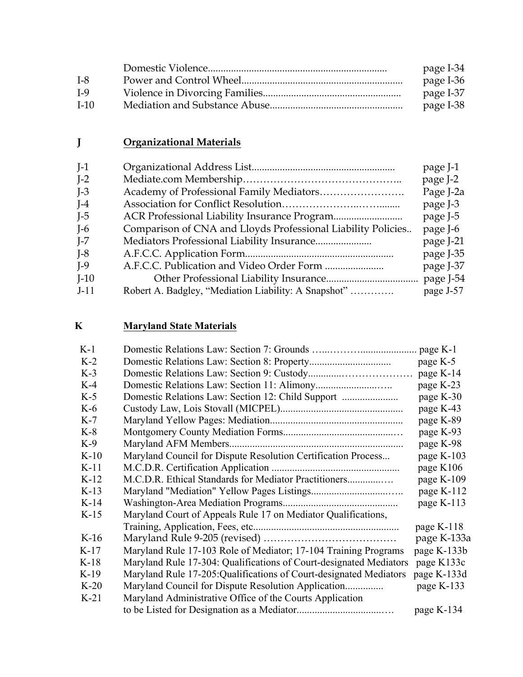|        | page I-34 |
|--------|-----------|
| $I-8$  | page I-36 |
| $I-9$  | page I-37 |
| $I-10$ | page I-38 |

# **J Organizational Materials**

| $J-1$   |                                                              | page J-1  |
|---------|--------------------------------------------------------------|-----------|
| $I-2$   |                                                              | page J-2  |
| $I-3$   |                                                              | Page J-2a |
| $I-4$   |                                                              | page J-3  |
| $I-5$   |                                                              | page J-5  |
| $I-6$   | Comparison of CNA and Lloyds Professional Liability Policies | page J-6  |
| $I - 7$ |                                                              | page J-21 |
| $I-8$   |                                                              | page J-35 |
| $I-9$   |                                                              | page J-37 |
| $J-10$  |                                                              |           |
| $J-11$  | Robert A. Badgley, "Mediation Liability: A Snapshot"         | page J-57 |
|         |                                                              |           |

### **K Maryland State Materials**

| $K-1$  |                                                                    |             |
|--------|--------------------------------------------------------------------|-------------|
| $K-2$  |                                                                    | page K-5    |
| $K-3$  |                                                                    | page K-14   |
| $K-4$  |                                                                    | page K-23   |
| $K-5$  |                                                                    | page K-30   |
| $K-6$  |                                                                    | page K-43   |
| $K-7$  |                                                                    | page K-89   |
| $K-8$  |                                                                    | page K-93   |
| $K-9$  |                                                                    | page K-98   |
| $K-10$ | Maryland Council for Dispute Resolution Certification Process      | page K-103  |
| $K-11$ |                                                                    | page K106   |
| $K-12$ | M.C.D.R. Ethical Standards for Mediator Practitioners              | page K-109  |
| $K-13$ |                                                                    | page K-112  |
| $K-14$ |                                                                    | page K-113  |
| $K-15$ | Maryland Court of Appeals Rule 17 on Mediator Qualifications,      |             |
|        |                                                                    | page K-118  |
| $K-16$ |                                                                    | page K-133a |
| $K-17$ | Maryland Rule 17-103 Role of Mediator; 17-104 Training Programs    | page K-133b |
| $K-18$ | Maryland Rule 17-304: Qualifications of Court-designated Mediators | page K133c  |
| $K-19$ | Maryland Rule 17-205: Qualifications of Court-designated Mediators | page K-133d |
| $K-20$ |                                                                    | page K-133  |
| $K-21$ | Maryland Administrative Office of the Courts Application           |             |
|        |                                                                    | page K-134  |